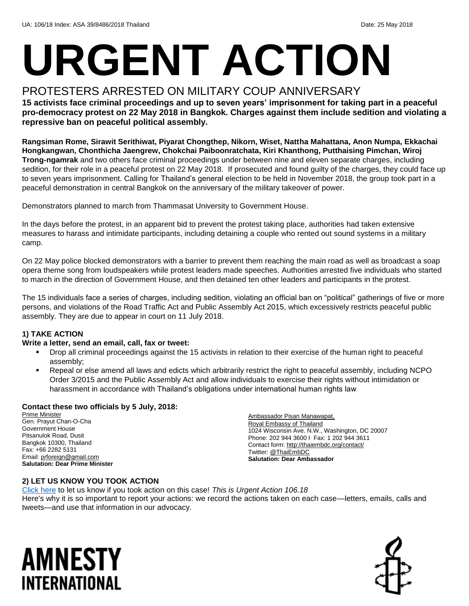# **URGENT ACTION**

#### PROTESTERS ARRESTED ON MILITARY COUP ANNIVERSARY

**15 activists face criminal proceedings and up to seven years' imprisonment for taking part in a peaceful pro-democracy protest on 22 May 2018 in Bangkok. Charges against them include sedition and violating a repressive ban on peaceful political assembly.** 

**Rangsiman Rome, Sirawit Serithiwat, Piyarat Chongthep, Nikorn, Wiset, Nattha Mahattana, Anon Numpa, Ekkachai Hongkangwan, Chonthicha Jaengrew, Chokchai Paiboonratchata, Kiri Khanthong, Putthaising Pimchan, Wiroj Trong-ngamrak** and two others face criminal proceedings under between nine and eleven separate charges, including sedition, for their role in a peaceful protest on 22 May 2018. If prosecuted and found guilty of the charges, they could face up to seven years imprisonment. Calling for Thailand's general election to be held in November 2018, the group took part in a peaceful demonstration in central Bangkok on the anniversary of the military takeover of power.

Demonstrators planned to march from Thammasat University to Government House.

In the days before the protest, in an apparent bid to prevent the protest taking place, authorities had taken extensive measures to harass and intimidate participants, including detaining a couple who rented out sound systems in a military camp.

On 22 May police blocked demonstrators with a barrier to prevent them reaching the main road as well as broadcast a soap opera theme song from loudspeakers while protest leaders made speeches. Authorities arrested five individuals who started to march in the direction of Government House, and then detained ten other leaders and participants in the protest.

The 15 individuals face a series of charges, including sedition, violating an official ban on "political" gatherings of five or more persons, and violations of the Road Traffic Act and Public Assembly Act 2015, which excessively restricts peaceful public assembly. They are due to appear in court on 11 July 2018.

#### **1) TAKE ACTION**

#### **Write a letter, send an email, call, fax or tweet:**

- Drop all criminal proceedings against the 15 activists in relation to their exercise of the human right to peaceful assembly;
- Repeal or else amend all laws and edicts which arbitrarily restrict the right to peaceful assembly, including NCPO Order 3/2015 and the Public Assembly Act and allow individuals to exercise their rights without intimidation or harassment in accordance with Thailand's obligations under international human rights law

#### **Contact these two officials by 5 July, 2018:**

Prime Minister Gen. Prayut Chan-O-Cha Government House Pitsanulok Road, Dusit Bangkok 10300, Thailand Fax: +66 2282 5131 Email[: prforeign@gmail.com](mailto:prforeign@gmail.com) **Salutation: Dear Prime Minister**

Ambassador Pisan Manawapat, Royal Embassy of Thailand 1024 Wisconsin Ave. N.W., Washington, DC 20007 Phone: 202 944 3600 I Fax: 1 202 944 3611 Contact form[: http://thaiembdc.org/contact/](http://thaiembdc.org/contact/) Twitter[: @ThaiEmbDC](https://twitter.com/ThaiEmbDC?ref_src=twsrc%5Egoogle%7Ctwcamp%5Eserp%7Ctwgr%5Eauthor) **Salutation: Dear Ambassador**

#### **2) LET US KNOW YOU TOOK ACTION**

[Click here](https://www.amnestyusa.org/report-urgent-actions/) to let us know if you took action on this case! *This is Urgent Action 106.18* Here's why it is so important to report your actions: we record the actions taken on each case—letters, emails, calls and tweets—and use that information in our advocacy.